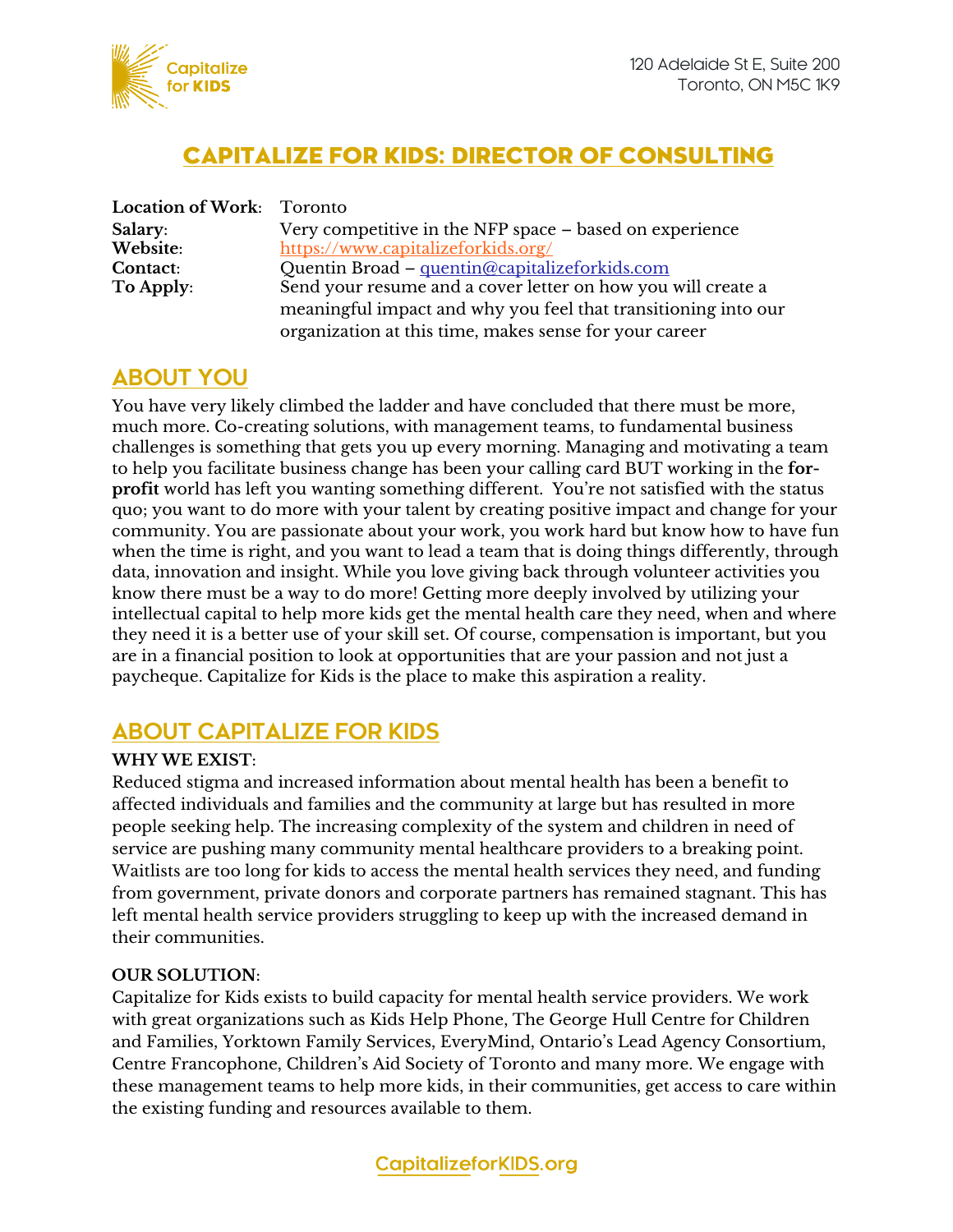

## CAPITALIZE FOR KIDS: DIRECTOR OF CONSULTING

| Location of Work: Toronto |                                                                |
|---------------------------|----------------------------------------------------------------|
| Salary:                   | Very competitive in the NFP space – based on experience        |
| Website:                  | https://www.capitalizeforkids.org/                             |
| Contact:                  | Quentin Broad - quentin@capitalizeforkids.com                  |
| To Apply:                 | Send your resume and a cover letter on how you will create a   |
|                           | meaningful impact and why you feel that transitioning into our |
|                           | organization at this time, makes sense for your career         |

### **ABOUT YOU**

You have very likely climbed the ladder and have concluded that there must be more, much more. Co-creating solutions, with management teams, to fundamental business challenges is something that gets you up every morning. Managing and motivating a team to help you facilitate business change has been your calling card BUT working in the **forprofit** world has left you wanting something different. You're not satisfied with the status quo; you want to do more with your talent by creating positive impact and change for your community. You are passionate about your work, you work hard but know how to have fun when the time is right, and you want to lead a team that is doing things differently, through data, innovation and insight. While you love giving back through volunteer activities you know there must be a way to do more! Getting more deeply involved by utilizing your intellectual capital to help more kids get the mental health care they need, when and where they need it is a better use of your skill set. Of course, compensation is important, but you are in a financial position to look at opportunities that are your passion and not just a paycheque. Capitalize for Kids is the place to make this aspiration a reality.

### **ABOUT CAPITALIZE FOR KIDS**

#### **WHY WE EXIST**:

Reduced stigma and increased information about mental health has been a benefit to affected individuals and families and the community at large but has resulted in more people seeking help. The increasing complexity of the system and children in need of service are pushing many community mental healthcare providers to a breaking point. Waitlists are too long for kids to access the mental health services they need, and funding from government, private donors and corporate partners has remained stagnant. This has left mental health service providers struggling to keep up with the increased demand in their communities.

#### **OUR SOLUTION**:

Capitalize for Kids exists to build capacity for mental health service providers. We work with great organizations such as Kids Help Phone, The George Hull Centre for Children and Families, Yorktown Family Services, EveryMind, Ontario's Lead Agency Consortium, Centre Francophone, Children's Aid Society of Toronto and many more. We engage with these management teams to help more kids, in their communities, get access to care within the existing funding and resources available to them.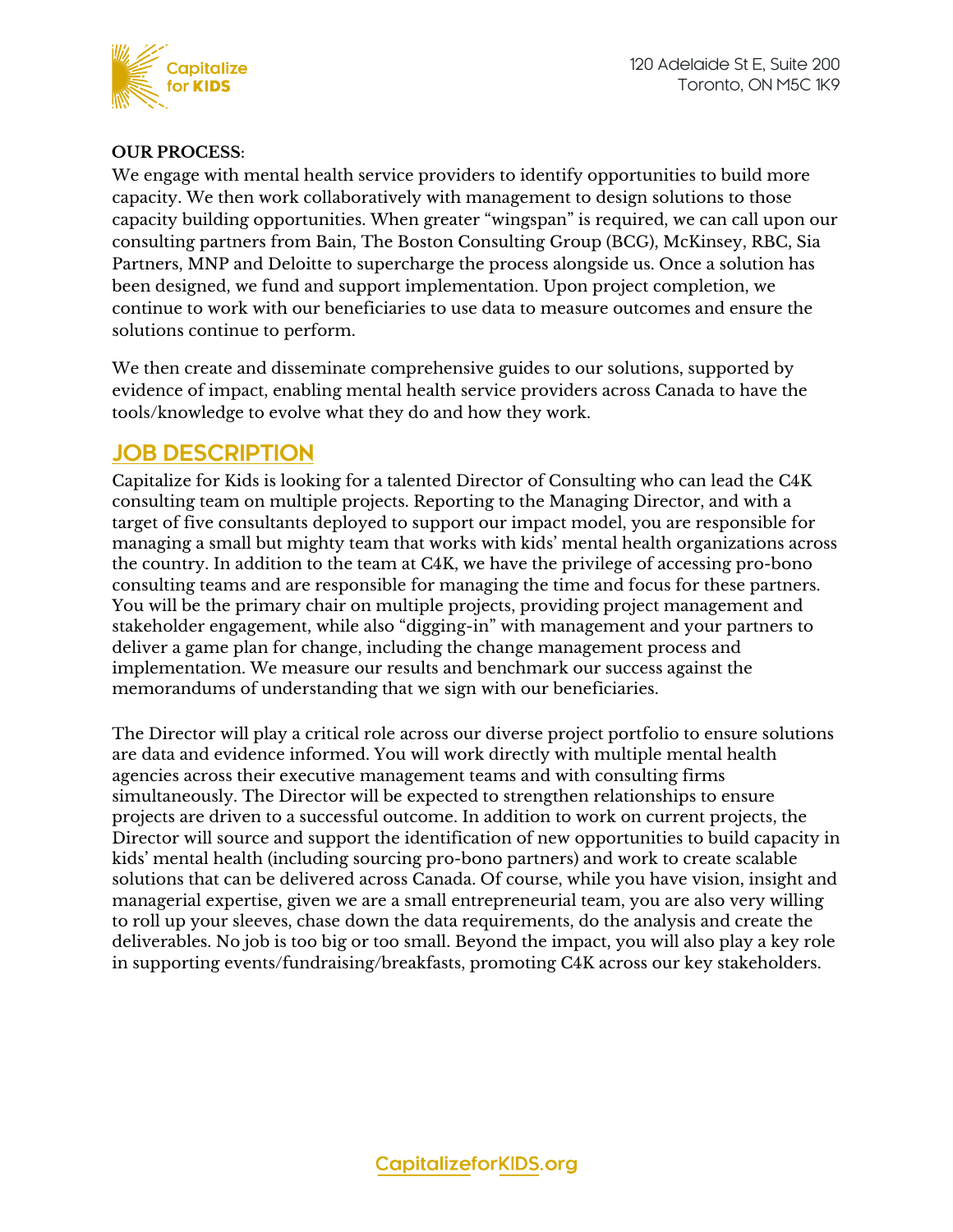

### **OUR PROCESS**:

We engage with mental health service providers to identify opportunities to build more capacity. We then work collaboratively with management to design solutions to those capacity building opportunities. When greater "wingspan" is required, we can call upon our consulting partners from Bain, The Boston Consulting Group (BCG), McKinsey, RBC, Sia Partners, MNP and Deloitte to supercharge the process alongside us. Once a solution has been designed, we fund and support implementation. Upon project completion, we continue to work with our beneficiaries to use data to measure outcomes and ensure the solutions continue to perform.

We then create and disseminate comprehensive guides to our solutions, supported by evidence of impact, enabling mental health service providers across Canada to have the tools/knowledge to evolve what they do and how they work.

### **JOB DESCRIPTION**

Capitalize for Kids is looking for a talented Director of Consulting who can lead the C4K consulting team on multiple projects. Reporting to the Managing Director, and with a target of five consultants deployed to support our impact model, you are responsible for managing a small but mighty team that works with kids' mental health organizations across the country. In addition to the team at C4K, we have the privilege of accessing pro-bono consulting teams and are responsible for managing the time and focus for these partners. You will be the primary chair on multiple projects, providing project management and stakeholder engagement, while also "digging-in" with management and your partners to deliver a game plan for change, including the change management process and implementation. We measure our results and benchmark our success against the memorandums of understanding that we sign with our beneficiaries.

The Director will play a critical role across our diverse project portfolio to ensure solutions are data and evidence informed. You will work directly with multiple mental health agencies across their executive management teams and with consulting firms simultaneously. The Director will be expected to strengthen relationships to ensure projects are driven to a successful outcome. In addition to work on current projects, the Director will source and support the identification of new opportunities to build capacity in kids' mental health (including sourcing pro-bono partners) and work to create scalable solutions that can be delivered across Canada. Of course, while you have vision, insight and managerial expertise, given we are a small entrepreneurial team, you are also very willing to roll up your sleeves, chase down the data requirements, do the analysis and create the deliverables. No job is too big or too small. Beyond the impact, you will also play a key role in supporting events/fundraising/breakfasts, promoting C4K across our key stakeholders.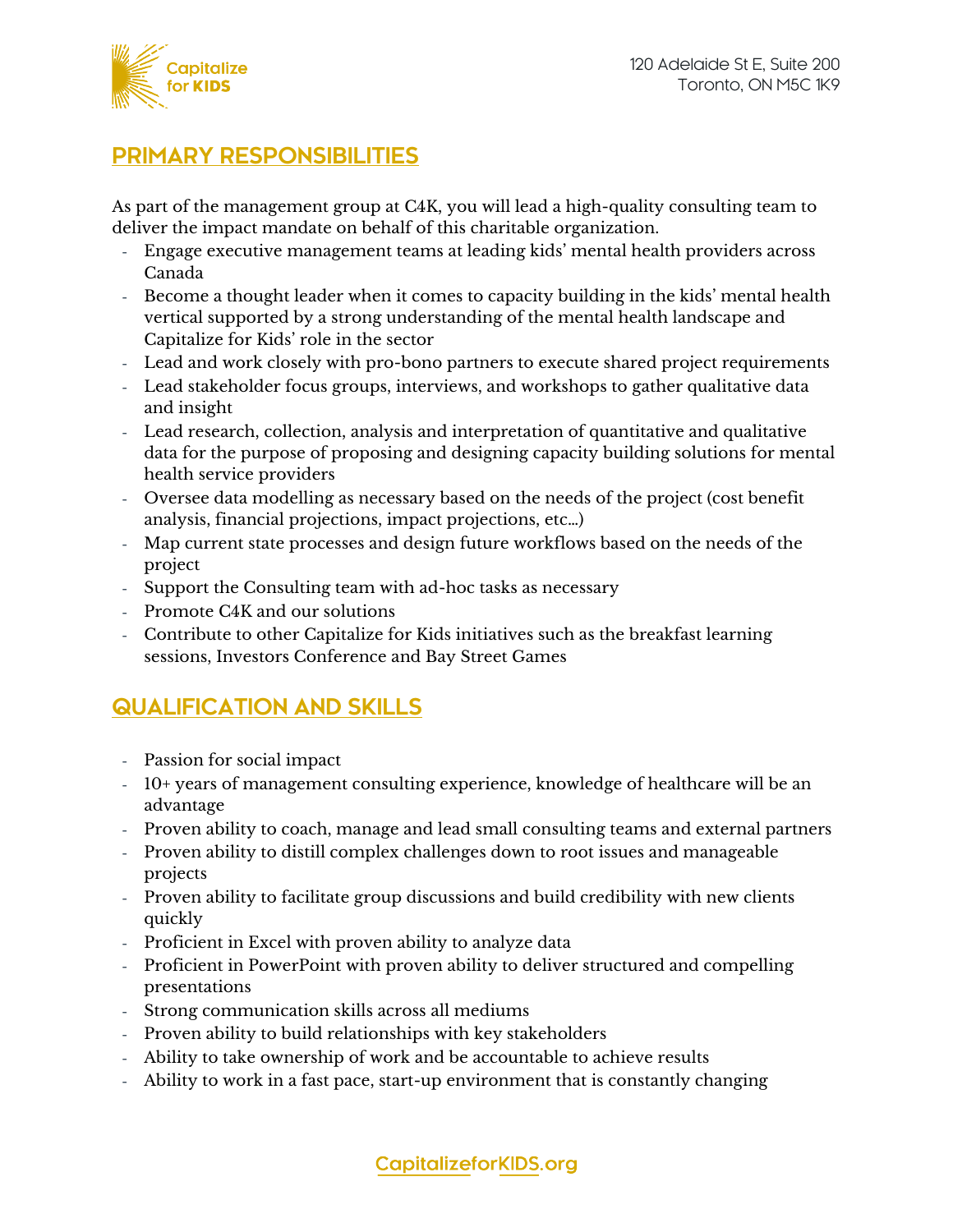

### **PRIMARY RESPONSIBILITIES**

As part of the management group at C4K, you will lead a high-quality consulting team to deliver the impact mandate on behalf of this charitable organization.

- Engage executive management teams at leading kids' mental health providers across Canada
- Become a thought leader when it comes to capacity building in the kids' mental health vertical supported by a strong understanding of the mental health landscape and Capitalize for Kids' role in the sector
- Lead and work closely with pro-bono partners to execute shared project requirements
- Lead stakeholder focus groups, interviews, and workshops to gather qualitative data and insight
- Lead research, collection, analysis and interpretation of quantitative and qualitative data for the purpose of proposing and designing capacity building solutions for mental health service providers
- Oversee data modelling as necessary based on the needs of the project (cost benefit analysis, financial projections, impact projections, etc…)
- Map current state processes and design future workflows based on the needs of the project
- Support the Consulting team with ad-hoc tasks as necessary
- Promote C4K and our solutions
- Contribute to other Capitalize for Kids initiatives such as the breakfast learning sessions, Investors Conference and Bay Street Games

# **QUALIFICATION AND SKILLS**

- Passion for social impact
- 10+ years of management consulting experience, knowledge of healthcare will be an advantage
- Proven ability to coach, manage and lead small consulting teams and external partners
- Proven ability to distill complex challenges down to root issues and manageable projects
- Proven ability to facilitate group discussions and build credibility with new clients quickly
- Proficient in Excel with proven ability to analyze data
- Proficient in PowerPoint with proven ability to deliver structured and compelling presentations
- Strong communication skills across all mediums
- Proven ability to build relationships with key stakeholders
- Ability to take ownership of work and be accountable to achieve results
- Ability to work in a fast pace, start-up environment that is constantly changing